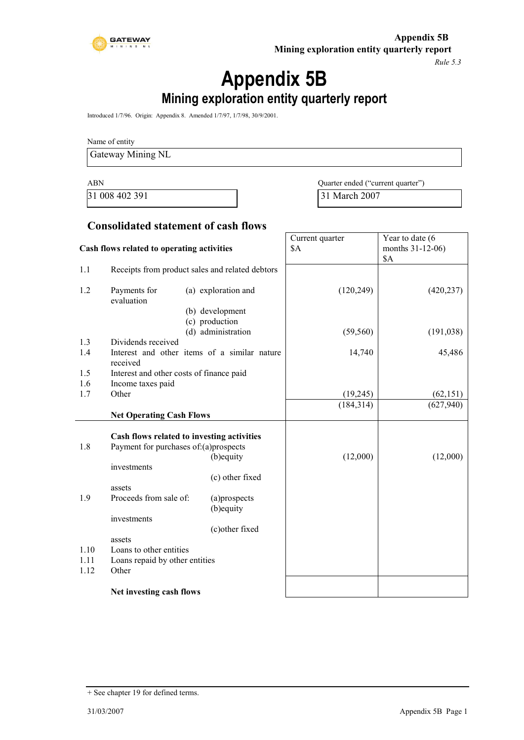

*Rule 5.3*

# **Appendix 5B Mining exploration entity quarterly report**

Introduced 1/7/96. Origin: Appendix 8. Amended 1/7/97, 1/7/98, 30/9/2001.

Name of entity

Gateway Mining NL

ABN Quarter ended ("current quarter") 31 008 402 391 31 March 2007

### **Consolidated statement of cash flows**

| Cash flows related to operating activities |                                            | Current quarter<br>\$A                          | Year to date (6<br>months 31-12-06)<br>\$A |            |
|--------------------------------------------|--------------------------------------------|-------------------------------------------------|--------------------------------------------|------------|
| 1.1                                        |                                            | Receipts from product sales and related debtors |                                            |            |
| 1.2                                        | Payments for<br>evaluation                 | (a) exploration and<br>(b) development          | (120, 249)                                 | (420, 237) |
|                                            |                                            | (c) production<br>(d) administration            | (59, 560)                                  | (191, 038) |
| 1.3                                        | Dividends received                         |                                                 |                                            |            |
| 1.4                                        | received                                   | Interest and other items of a similar nature    | 14,740                                     | 45,486     |
| 1.5                                        | Interest and other costs of finance paid   |                                                 |                                            |            |
| 1.6                                        | Income taxes paid                          |                                                 |                                            |            |
| 1.7                                        | Other                                      |                                                 | (19, 245)                                  | (62, 151)  |
|                                            |                                            |                                                 | (184, 314)                                 | (627, 940) |
|                                            | <b>Net Operating Cash Flows</b>            |                                                 |                                            |            |
|                                            | Cash flows related to investing activities |                                                 |                                            |            |
| 1.8                                        | Payment for purchases of:(a)prospects      |                                                 |                                            |            |
|                                            |                                            | (b) equity                                      | (12,000)                                   | (12,000)   |
|                                            | investments                                |                                                 |                                            |            |
|                                            |                                            | (c) other fixed                                 |                                            |            |
| 1.9                                        | assets<br>Proceeds from sale of:           | (a)prospects<br>(b) equity                      |                                            |            |
|                                            | investments                                | (c) other fixed                                 |                                            |            |
|                                            | assets                                     |                                                 |                                            |            |
| 1.10                                       | Loans to other entities                    |                                                 |                                            |            |
| 1.11                                       | Loans repaid by other entities             |                                                 |                                            |            |
| 1.12                                       | Other                                      |                                                 |                                            |            |
|                                            | Net investing cash flows                   |                                                 |                                            |            |

<sup>+</sup> See chapter 19 for defined terms.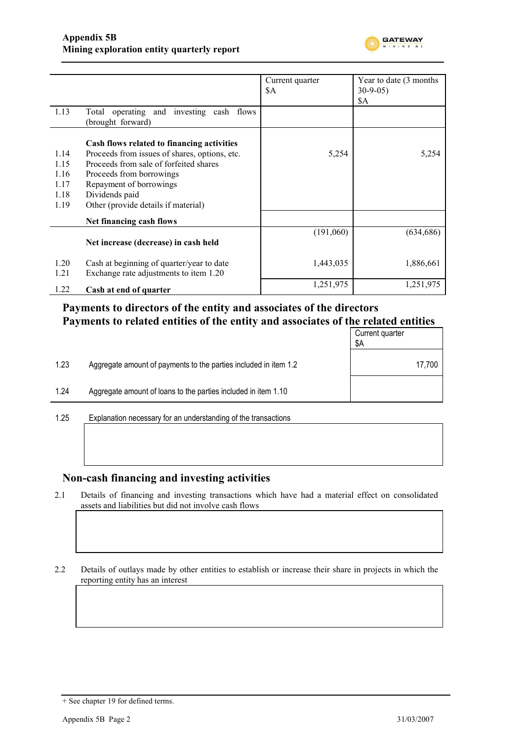

|              |                                                                                     | Current quarter | Year to date (3 months) |
|--------------|-------------------------------------------------------------------------------------|-----------------|-------------------------|
|              |                                                                                     | \$Α             | $30-9-05$               |
|              |                                                                                     |                 | \$A                     |
| 1.13         | Total operating and investing cash flows<br>(brought forward)                       |                 |                         |
|              | Cash flows related to financing activities                                          |                 |                         |
| 1.14         | Proceeds from issues of shares, options, etc.                                       | 5,254           | 5,254                   |
| 1.15         | Proceeds from sale of forfeited shares                                              |                 |                         |
| 1.16         | Proceeds from borrowings                                                            |                 |                         |
| 1.17         | Repayment of borrowings                                                             |                 |                         |
| 1.18         | Dividends paid                                                                      |                 |                         |
| 1.19         | Other (provide details if material)                                                 |                 |                         |
|              | Net financing cash flows                                                            |                 |                         |
|              | Net increase (decrease) in cash held                                                | (191,060)       | (634, 686)              |
| 1.20<br>1.21 | Cash at beginning of quarter/year to date<br>Exchange rate adjustments to item 1.20 | 1,443,035       | 1,886,661               |
| 1.22         | Cash at end of quarter                                                              | 1,251,975       | 1,251,975               |

# **Payments to directors of the entity and associates of the directors Payments to related entities of the entity and associates of the related entities**

|      |                                                                  | Current quarter<br>\$Α |
|------|------------------------------------------------------------------|------------------------|
| 1.23 | Aggregate amount of payments to the parties included in item 1.2 | 17,700                 |
| 1.24 | Aggregate amount of loans to the parties included in item 1.10   |                        |
|      |                                                                  |                        |

1.25 Explanation necessary for an understanding of the transactions

#### **Non-cash financing and investing activities**

2.1 Details of financing and investing transactions which have had a material effect on consolidated assets and liabilities but did not involve cash flows

2.2 Details of outlays made by other entities to establish or increase their share in projects in which the reporting entity has an interest

<sup>+</sup> See chapter 19 for defined terms.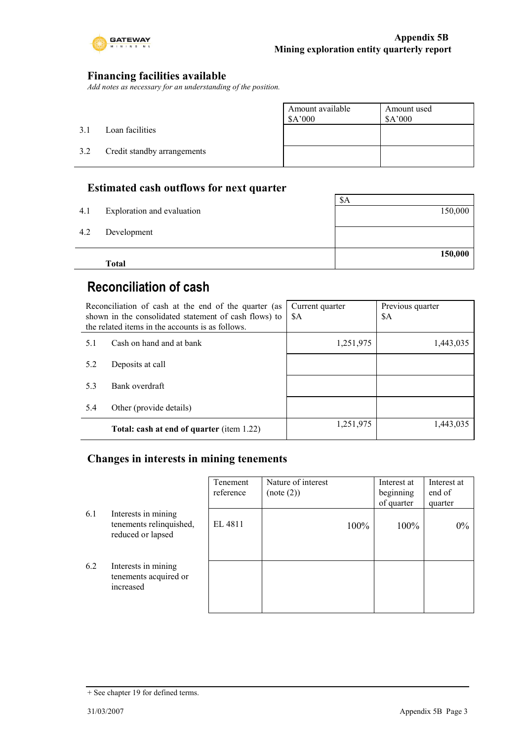

### **Financing facilities available**

*Add notes as necessary for an understanding of the position.*

|     |                             | Amount available<br>\$A'000 | Amount used<br>\$A'000 |
|-----|-----------------------------|-----------------------------|------------------------|
| 3.1 | Loan facilities             |                             |                        |
| 3.2 | Credit standby arrangements |                             |                        |
|     |                             |                             |                        |

### **Estimated cash outflows for next quarter**

|     | <b>Total</b>               | 150,000 |
|-----|----------------------------|---------|
| 4.2 | Development                |         |
| 4.1 | Exploration and evaluation | 150,000 |
|     |                            | \$A     |

# **Reconciliation of cash**

| Reconciliation of cash at the end of the quarter (as<br>shown in the consolidated statement of cash flows) to<br>the related items in the accounts is as follows. |                                           | Current quarter<br>\$A | Previous quarter<br>\$A |
|-------------------------------------------------------------------------------------------------------------------------------------------------------------------|-------------------------------------------|------------------------|-------------------------|
| 5.1                                                                                                                                                               | Cash on hand and at bank                  | 1,251,975              | 1,443,035               |
| 5.2                                                                                                                                                               | Deposits at call                          |                        |                         |
| 5.3                                                                                                                                                               | Bank overdraft                            |                        |                         |
| 5.4                                                                                                                                                               | Other (provide details)                   |                        |                         |
|                                                                                                                                                                   | Total: cash at end of quarter (item 1.22) | 1,251,975              | 1,443,035               |

### **Changes in interests in mining tenements**

|     |                                                                     | Tenement<br>reference | Nature of interest<br>(note (2)) | Interest at<br>beginning<br>of quarter | Interest at<br>end of<br>quarter |
|-----|---------------------------------------------------------------------|-----------------------|----------------------------------|----------------------------------------|----------------------------------|
| 6.1 | Interests in mining<br>tenements relinquished,<br>reduced or lapsed | EL 4811               | 100%                             | 100%                                   | $0\%$                            |
| 6.2 | Interests in mining<br>tenements acquired or<br>increased           |                       |                                  |                                        |                                  |

<sup>+</sup> See chapter 19 for defined terms.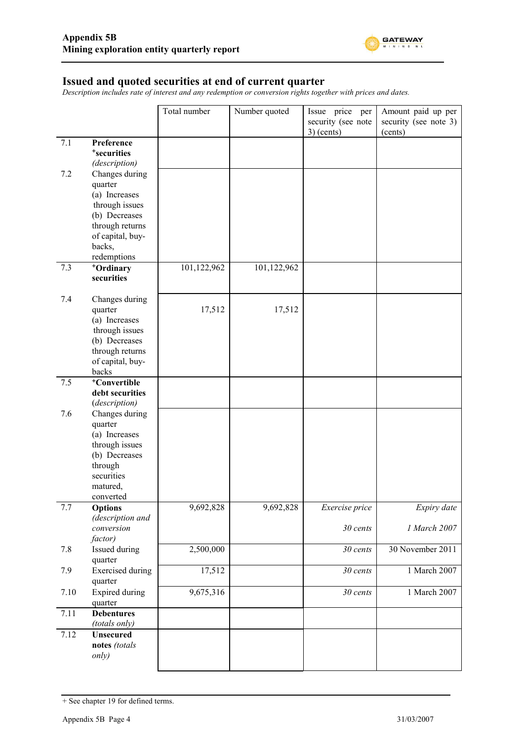

#### **Issued and quoted securities at end of current quarter**

*Description includes rate of interest and any redemption or conversion rights together with prices and dates.*

|      |                                                                                                                                                  | Total number | Number quoted | Issue price per<br>security (see note<br>$3)$ (cents) | Amount paid up per<br>security (see note 3)<br>(cents) |
|------|--------------------------------------------------------------------------------------------------------------------------------------------------|--------------|---------------|-------------------------------------------------------|--------------------------------------------------------|
| 7.1  | Preference<br><sup>+</sup> securities<br>(description)                                                                                           |              |               |                                                       |                                                        |
| 7.2  | Changes during<br>quarter<br>(a) Increases<br>through issues<br>(b) Decreases<br>through returns<br>of capital, buy-<br>backs,<br>redemptions    |              |               |                                                       |                                                        |
| 7.3  | +Ordinary<br>securities                                                                                                                          | 101,122,962  | 101,122,962   |                                                       |                                                        |
| 7.4  | Changes during<br>quarter<br>(a) Increases<br>through issues<br>(b) Decreases<br>through returns<br>of capital, buy-<br>backs                    | 17,512       | 17,512        |                                                       |                                                        |
| 7.5  | <sup>+</sup> Convertible<br>debt securities                                                                                                      |              |               |                                                       |                                                        |
| 7.6  | (description)<br>Changes during<br>quarter<br>(a) Increases<br>through issues<br>(b) Decreases<br>through<br>securities<br>matured,<br>converted |              |               |                                                       |                                                        |
| 7.7  | <b>Options</b><br>(description and<br>conversion                                                                                                 | 9,692,828    | 9,692,828     | Exercise price<br>30 cents                            | Expiry date<br>1 March 2007                            |
| 7.8  | factor)<br>Issued during                                                                                                                         | 2,500,000    |               | 30 cents                                              | 30 November 2011                                       |
| 7.9  | quarter<br><b>Exercised</b> during<br>quarter                                                                                                    | 17,512       |               | 30 cents                                              | 1 March 2007                                           |
| 7.10 | <b>Expired during</b><br>quarter                                                                                                                 | 9,675,316    |               | 30 cents                                              | 1 March 2007                                           |
| 7.11 | <b>Debentures</b><br>(totals only)                                                                                                               |              |               |                                                       |                                                        |
| 7.12 | <b>Unsecured</b><br>notes (totals<br>only)                                                                                                       |              |               |                                                       |                                                        |

<sup>+</sup> See chapter 19 for defined terms.